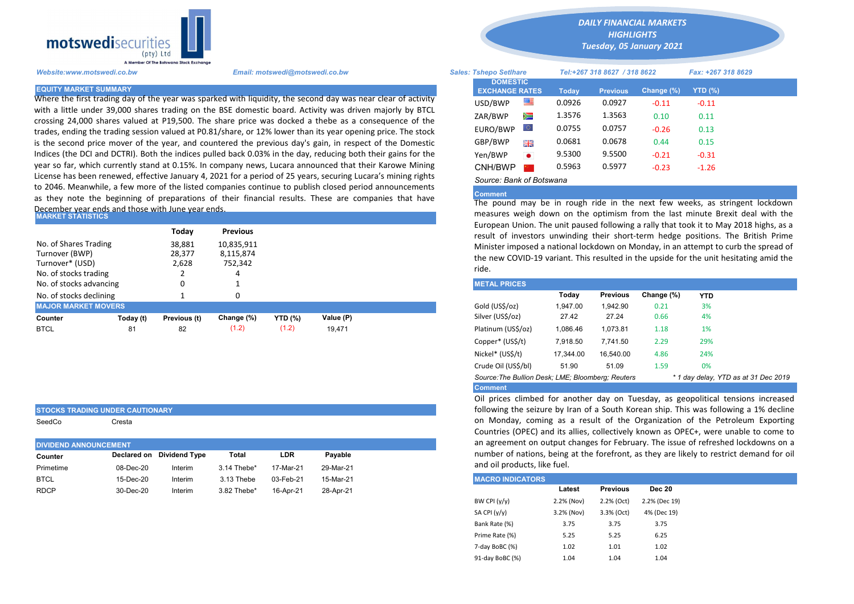

Where the first trading day of the year was sparked with liquidity, the second day was near clear of activity with a little under 39,000 shares trading on the BSE domestic board. Activity was driven majorly by BTCL crossing 24,000 shares valued at P19,500. The share price was docked a thebe as a consequence of the trades, ending the trading session valued at P0.81/share, or 12% lower than its year opening price. The stock is the second price mover of the year, and countered the previous day's gain, in respect of the Domestic Indices (the DCI and DCTRI). Both the indices pulled back 0.03% in the day, reducing both their gains for the year so far, which currently stand at 0.15%. In company news, Lucara announced that their Karowe Mining License has been renewed, effective January 4, 2021 for a period of 25 years, securing Lucara's mining rights to 2046. Meanwhile, a few more of the listed companies continue to publish closed period announcements as they note the beginning of preparations of their financial results. These are companies that have December year ends and those with June year ends.

| IMARKET STATISTICS                                                                  |           |                                                                 |                 |                |           |  | measures weigh down on the optimism from the last minute brex<br>European Union. The unit paused following a rally that took it to May                  |          |                 |            |            |  |  |  |
|-------------------------------------------------------------------------------------|-----------|-----------------------------------------------------------------|-----------------|----------------|-----------|--|---------------------------------------------------------------------------------------------------------------------------------------------------------|----------|-----------------|------------|------------|--|--|--|
|                                                                                     |           | Today                                                           | <b>Previous</b> |                |           |  | result of investors unwinding their short-term hedge positions. The                                                                                     |          |                 |            |            |  |  |  |
| No. of Shares Trading<br>Turnover (BWP)<br>Turnover* (USD)<br>No. of stocks trading |           | 38,881<br>10,835,911<br>28,377<br>8,115,874<br>2.628<br>752,342 |                 |                |           |  | Minister imposed a national lockdown on Monday, in an attempt to cu<br>the new COVID-19 variant. This resulted in the upside for the unit here<br>ride. |          |                 |            |            |  |  |  |
| No. of stocks advancing                                                             |           |                                                                 |                 |                |           |  | <b>METAL PRICES</b>                                                                                                                                     |          |                 |            |            |  |  |  |
| No. of stocks declining                                                             |           |                                                                 |                 |                |           |  |                                                                                                                                                         | Today    | <b>Previous</b> | Change (%) | <b>YTD</b> |  |  |  |
| <b>MAJOR MARKET MOVERS</b>                                                          |           |                                                                 |                 |                |           |  | Gold (US\$/oz)                                                                                                                                          | 1.947.00 | 1.942.90        | 0.21       | 3%         |  |  |  |
| Counter                                                                             | Today (t) | Previous (t)                                                    | Change (%)      | <b>YTD (%)</b> | Value (P) |  | Silver (US\$/oz)                                                                                                                                        | 27.42    | 27.24           | 0.66       | 4%         |  |  |  |
| <b>BTCL</b>                                                                         | 81        | 82                                                              | (1.2)           | (1.2)          | 19.471    |  | Platinum (US\$/oz)                                                                                                                                      | 1.086.46 | 1.073.81        | 1.18       | 1%         |  |  |  |

| STOCKS TRADING UNDER CAUTIONARY |  |
|---------------------------------|--|
|                                 |  |

SeedCo Cresta

| <b>DIVIDEND ANNOUNCEMENT</b> |           |                           |             |           |           |  |  | an agreement on output changes for February. The is   |        |                 |  |  |
|------------------------------|-----------|---------------------------|-------------|-----------|-----------|--|--|-------------------------------------------------------|--------|-----------------|--|--|
| Counter                      |           | Declared on Dividend Type | Total       | LDR       | Pavable   |  |  | number of nations, being at the forefront, as they ar |        |                 |  |  |
| Primetime                    | 08-Dec-20 | Interim                   | 3.14 Thebe* | 17-Mar-21 | 29-Mar-21 |  |  | and oil products, like fuel.                          |        |                 |  |  |
| <b>BTCL</b>                  | 15-Dec-20 | Interim                   | 3.13 Thebe  | 03-Feb-21 | 15-Mar-21 |  |  | <b>MACRO INDICATORS</b>                               |        |                 |  |  |
| <b>RDCP</b>                  | 30-Dec-20 | Interim                   | 3.82 Thebe* | 16-Apr-21 | 28-Apr-21 |  |  |                                                       | Latest | <b>Previous</b> |  |  |
|                              |           |                           |             |           |           |  |  | _ _ _                                                 | .      | -------         |  |  |

*DAILY FINANCIAL MARKETS*

*HIGHLIGHTS Tuesday, 05 January 2021* 

| A Member Of the Botswand Stock Exchange |                                                                                                                                                                                                                 |                                          |                              |        |                 |                    |         |  |
|-----------------------------------------|-----------------------------------------------------------------------------------------------------------------------------------------------------------------------------------------------------------------|------------------------------------------|------------------------------|--------|-----------------|--------------------|---------|--|
| Website:www.motswedi.co.bw              | <b>Sales: Tshepo Setlhare</b>                                                                                                                                                                                   |                                          | Tel:+267 318 8627 / 318 8622 |        |                 | Fax: +267 318 8629 |         |  |
| <b>EQUITY MARKET SUMMARY</b>            |                                                                                                                                                                                                                 | <b>DOMESTIC</b><br><b>EXCHANGE RATES</b> |                              | Today  | <b>Previous</b> | Change (%)         | YTD (%) |  |
|                                         | Where the first trading day of the year was sparked with liquidity, the second day was near clear of activity                                                                                                   | USD/BWP                                  | ≝                            | 0.0926 | 0.0927          | $-0.11$            | $-0.11$ |  |
|                                         | with a little under 39,000 shares trading on the BSE domestic board. Activity was driven majorly by BTCL<br>rossing 24,000 shares valued at P19,500. The share price was docked a thebe as a consequence of the | ZAR/BWP                                  | $\approx$                    | 1.3576 | 1.3563          | 0.10               | 0.11    |  |
|                                         | rades, ending the trading session valued at P0.81/share, or 12% lower than its year opening price. The stock                                                                                                    | EURO/BWP                                 | Ю.                           | 0.0755 | 0.0757          | $-0.26$            | 0.13    |  |
|                                         | s the second price mover of the year, and countered the previous day's gain, in respect of the Domestic                                                                                                         | GBP/BWP                                  | 開業                           | 0.0681 | 0.0678          | 0.44               | 0.15    |  |
|                                         | ndices (the DCI and DCTRI). Both the indices pulled back 0.03% in the day, reducing both their gains for the                                                                                                    | Yen/BWP                                  | $\bullet$                    | 9.5300 | 9.5500          | $-0.21$            | $-0.31$ |  |
|                                         | ear so far, which currently stand at 0.15%. In company news, Lucara announced that their Karowe Mining                                                                                                          | CNH/BWP                                  |                              | 0.5963 | 0.5977          | $-0.23$            | $-1.26$ |  |
|                                         | icense has been renewed, effective January 4, 2021 for a period of 25 years, securing Lucara's mining rights                                                                                                    | Source: Bank of Botswana                 |                              |        |                 |                    |         |  |

## Comment

The pound may be in rough ride in the next few weeks, as stringent lockdown measures weigh down on the optimism from the last minute Brexit deal with the European Union. The unit paused following a rally that took it to May 2018 highs, as a result of investors unwinding their short-term hedge positions. The British Prime Minister imposed a national lockdown on Monday, in an attempt to curb the spread of the new COVID-19 variant. This resulted in the upside for the unit hesitating amid the ride.

| <b>METAL PRICES</b>                               |           |                 |            |                                      |  |
|---------------------------------------------------|-----------|-----------------|------------|--------------------------------------|--|
|                                                   | Today     | <b>Previous</b> | Change (%) | <b>YTD</b>                           |  |
| Gold (US\$/oz)                                    | 1.947.00  | 1.942.90        | 0.21       | 3%                                   |  |
| Silver (US\$/oz)                                  | 27.42     | 27.24           | 0.66       | 4%                                   |  |
| Platinum (US\$/oz)                                | 1.086.46  | 1.073.81        | 1.18       | 1%                                   |  |
| Copper* (US\$/t)                                  | 7,918.50  | 7.741.50        | 2.29       | 29%                                  |  |
| Nickel* (US\$/t)                                  | 17.344.00 | 16.540.00       | 4.86       | 24%                                  |  |
| Crude Oil (US\$/bl)                               | 51.90     | 51.09           | 1.59       | 0%                                   |  |
| Source: The Bullion Desk; LME; Bloomberg; Reuters |           |                 |            | * 1 day delay, YTD as at 31 Dec 2019 |  |
| <b>Comment</b>                                    |           |                 |            |                                      |  |

Oil prices climbed for another day on Tuesday, as geopolitical tensions increased following the seizure by Iran of a South Korean ship. This was following a 1% decline on Monday, coming as a result of the Organization of the Petroleum Exporting Countries (OPEC) and its allies, collectively known as OPEC+, were unable to come to an agreement on output changes for February. The issue of refreshed lockdowns on a number of nations, being at the forefront, as they are likely to restrict demand for oil and oil products, like fuel.

| <b>IMACRO INDICATORS</b> |            |                 |               |
|--------------------------|------------|-----------------|---------------|
|                          | Latest     | <b>Previous</b> | <b>Dec 20</b> |
| BW CPI (y/y)             | 2.2% (Nov) | 2.2% (Oct)      | 2.2% (Dec 19) |
| SA CPI (y/y)             | 3.2% (Nov) | 3.3% (Oct)      | 4% (Dec 19)   |
| Bank Rate (%)            | 3.75       | 3.75            | 3.75          |
| Prime Rate (%)           | 5.25       | 5.25            | 6.25          |
| 7-day BoBC (%)           | 1.02       | 1.01            | 1.02          |
| 91-day BoBC (%)          | 1.04       | 1.04            | 1.04          |